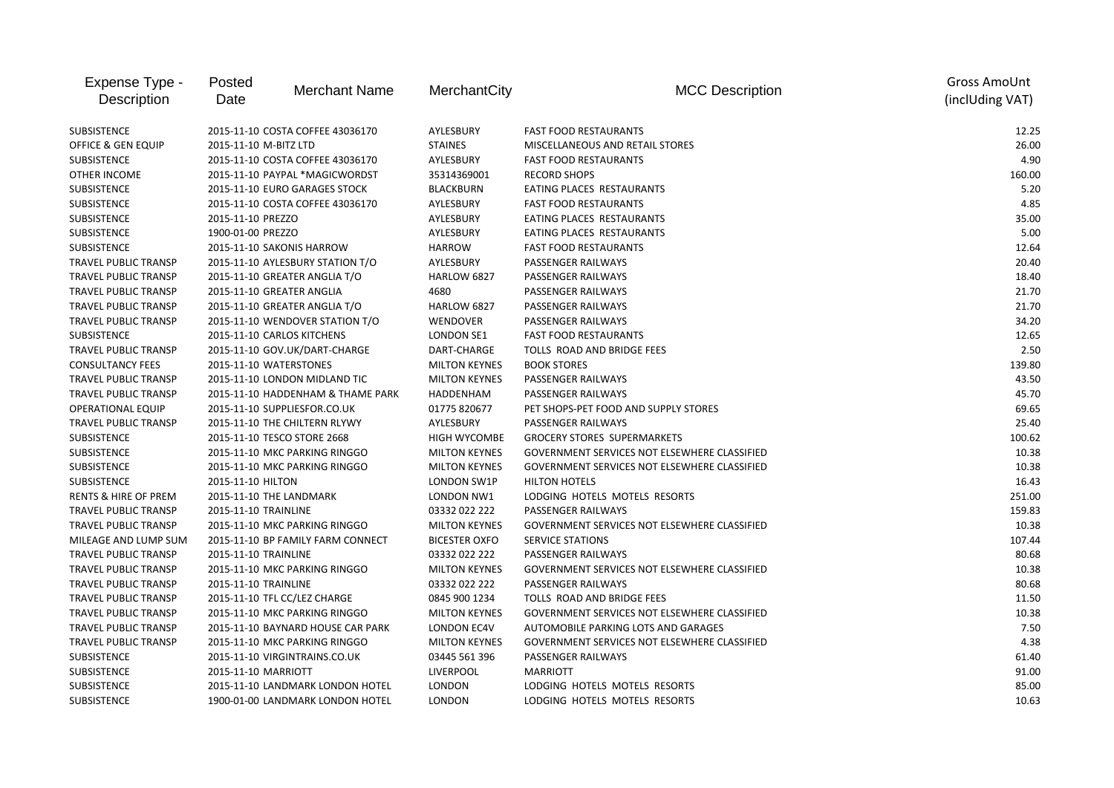| Expense Type -<br>Description   | Posted<br>Date                   | <b>Merchant Name</b>              | MerchantCity         | <b>MCC Description</b>                              | <b>Gross AmoUnt</b><br>(inclUding VAT) |
|---------------------------------|----------------------------------|-----------------------------------|----------------------|-----------------------------------------------------|----------------------------------------|
| SUBSISTENCE                     |                                  | 2015-11-10 COSTA COFFEE 43036170  | AYLESBURY            | <b>FAST FOOD RESTAURANTS</b>                        | 12.25                                  |
| OFFICE & GEN EQUIP              | 2015-11-10 M-BITZ LTD            |                                   | <b>STAINES</b>       | MISCELLANEOUS AND RETAIL STORES                     | 26.00                                  |
| SUBSISTENCE                     | 2015-11-10 COSTA COFFEE 43036170 |                                   | AYLESBURY            | <b>FAST FOOD RESTAURANTS</b>                        | 4.90                                   |
| OTHER INCOME                    | 2015-11-10 PAYPAL *MAGICWORDST   |                                   | 35314369001          | <b>RECORD SHOPS</b>                                 | 160.00                                 |
| SUBSISTENCE                     |                                  | 2015-11-10 EURO GARAGES STOCK     | <b>BLACKBURN</b>     | EATING PLACES RESTAURANTS                           | 5.20                                   |
| SUBSISTENCE                     |                                  | 2015-11-10 COSTA COFFEE 43036170  | AYLESBURY            | <b>FAST FOOD RESTAURANTS</b>                        | 4.85                                   |
| SUBSISTENCE                     | 2015-11-10 PREZZO                |                                   | AYLESBURY            | EATING PLACES RESTAURANTS                           | 35.00                                  |
| SUBSISTENCE                     | 1900-01-00 PREZZO                |                                   | AYLESBURY            | EATING PLACES RESTAURANTS                           | 5.00                                   |
| SUBSISTENCE                     |                                  | 2015-11-10 SAKONIS HARROW         | <b>HARROW</b>        | <b>FAST FOOD RESTAURANTS</b>                        | 12.64                                  |
| <b>TRAVEL PUBLIC TRANSP</b>     |                                  | 2015-11-10 AYLESBURY STATION T/O  | AYLESBURY            | PASSENGER RAILWAYS                                  | 20.40                                  |
| <b>TRAVEL PUBLIC TRANSP</b>     |                                  | 2015-11-10 GREATER ANGLIA T/O     | HARLOW 6827          | PASSENGER RAILWAYS                                  | 18.40                                  |
| TRAVEL PUBLIC TRANSP            |                                  | 2015-11-10 GREATER ANGLIA         | 4680                 | PASSENGER RAILWAYS                                  | 21.70                                  |
| TRAVEL PUBLIC TRANSP            |                                  | 2015-11-10 GREATER ANGLIA T/O     | HARLOW 6827          | PASSENGER RAILWAYS                                  | 21.70                                  |
| TRAVEL PUBLIC TRANSP            |                                  | 2015-11-10 WENDOVER STATION T/O   | WENDOVER             | PASSENGER RAILWAYS                                  | 34.20                                  |
| SUBSISTENCE                     |                                  | 2015-11-10 CARLOS KITCHENS        | <b>LONDON SE1</b>    | <b>FAST FOOD RESTAURANTS</b>                        | 12.65                                  |
| TRAVEL PUBLIC TRANSP            |                                  | 2015-11-10 GOV.UK/DART-CHARGE     | DART-CHARGE          | TOLLS ROAD AND BRIDGE FEES                          | 2.50                                   |
| <b>CONSULTANCY FEES</b>         | 2015-11-10 WATERSTONES           |                                   | <b>MILTON KEYNES</b> | <b>BOOK STORES</b>                                  | 139.80                                 |
| TRAVEL PUBLIC TRANSP            |                                  | 2015-11-10 LONDON MIDLAND TIC     | <b>MILTON KEYNES</b> | PASSENGER RAILWAYS                                  | 43.50                                  |
| <b>TRAVEL PUBLIC TRANSP</b>     |                                  | 2015-11-10 HADDENHAM & THAME PARK | HADDENHAM            | PASSENGER RAILWAYS                                  | 45.70                                  |
| <b>OPERATIONAL EQUIP</b>        |                                  | 2015-11-10 SUPPLIESFOR.CO.UK      | 01775 820677         | PET SHOPS-PET FOOD AND SUPPLY STORES                | 69.65                                  |
| TRAVEL PUBLIC TRANSP            |                                  | 2015-11-10 THE CHILTERN RLYWY     | AYLESBURY            | PASSENGER RAILWAYS                                  | 25.40                                  |
| SUBSISTENCE                     |                                  | 2015-11-10 TESCO STORE 2668       | <b>HIGH WYCOMBE</b>  | <b>GROCERY STORES SUPERMARKETS</b>                  | 100.62                                 |
| SUBSISTENCE                     |                                  | 2015-11-10 MKC PARKING RINGGO     | <b>MILTON KEYNES</b> | <b>GOVERNMENT SERVICES NOT ELSEWHERE CLASSIFIED</b> | 10.38                                  |
| SUBSISTENCE                     |                                  | 2015-11-10 MKC PARKING RINGGO     | <b>MILTON KEYNES</b> | <b>GOVERNMENT SERVICES NOT ELSEWHERE CLASSIFIED</b> | 10.38                                  |
| SUBSISTENCE                     | 2015-11-10 HILTON                |                                   | LONDON SW1P          | <b>HILTON HOTELS</b>                                | 16.43                                  |
| <b>RENTS &amp; HIRE OF PREM</b> |                                  | 2015-11-10 THE LANDMARK           | LONDON NW1           | LODGING HOTELS MOTELS RESORTS                       | 251.00                                 |
| TRAVEL PUBLIC TRANSP            | 2015-11-10 TRAINLINE             |                                   | 03332 022 222        | PASSENGER RAILWAYS                                  | 159.83                                 |
| TRAVEL PUBLIC TRANSP            |                                  | 2015-11-10 MKC PARKING RINGGO     | <b>MILTON KEYNES</b> | GOVERNMENT SERVICES NOT ELSEWHERE CLASSIFIED        | 10.38                                  |
| MILEAGE AND LUMP SUM            |                                  | 2015-11-10 BP FAMILY FARM CONNECT | <b>BICESTER OXFO</b> | SERVICE STATIONS                                    | 107.44                                 |
| TRAVEL PUBLIC TRANSP            | 2015-11-10 TRAINLINE             |                                   | 03332 022 222        | PASSENGER RAILWAYS                                  | 80.68                                  |
| <b>TRAVEL PUBLIC TRANSP</b>     |                                  | 2015-11-10 MKC PARKING RINGGO     | <b>MILTON KEYNES</b> | GOVERNMENT SERVICES NOT ELSEWHERE CLASSIFIED        | 10.38                                  |
| TRAVEL PUBLIC TRANSP            | 2015-11-10 TRAINLINE             |                                   | 03332 022 222        | PASSENGER RAILWAYS                                  | 80.68                                  |
| TRAVEL PUBLIC TRANSP            |                                  | 2015-11-10 TFL CC/LEZ CHARGE      | 0845 900 1234        | TOLLS ROAD AND BRIDGE FEES                          | 11.50                                  |
| TRAVEL PUBLIC TRANSP            |                                  | 2015-11-10 MKC PARKING RINGGO     | <b>MILTON KEYNES</b> | GOVERNMENT SERVICES NOT ELSEWHERE CLASSIFIED        | 10.38                                  |
| <b>TRAVEL PUBLIC TRANSP</b>     |                                  | 2015-11-10 BAYNARD HOUSE CAR PARK | LONDON EC4V          | AUTOMOBILE PARKING LOTS AND GARAGES                 | 7.50                                   |
| <b>TRAVEL PUBLIC TRANSP</b>     |                                  | 2015-11-10 MKC PARKING RINGGO     | <b>MILTON KEYNES</b> | GOVERNMENT SERVICES NOT ELSEWHERE CLASSIFIED        | 4.38                                   |
| SUBSISTENCE                     |                                  | 2015-11-10 VIRGINTRAINS.CO.UK     | 03445 561 396        | PASSENGER RAILWAYS                                  | 61.40                                  |
| SUBSISTENCE                     | 2015-11-10 MARRIOTT              |                                   | <b>LIVERPOOL</b>     | <b>MARRIOTT</b>                                     | 91.00                                  |
| SUBSISTENCE                     |                                  | 2015-11-10 LANDMARK LONDON HOTEL  | <b>LONDON</b>        | LODGING HOTELS MOTELS RESORTS                       | 85.00                                  |
| SUBSISTENCE                     |                                  | 1900-01-00 LANDMARK LONDON HOTEL  | LONDON               | LODGING HOTELS MOTELS RESORTS                       | 10.63                                  |